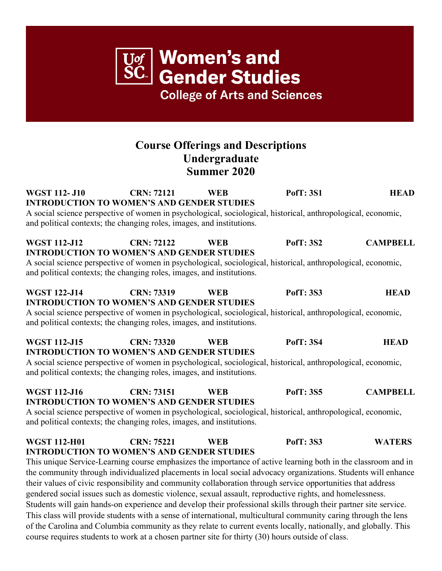## **Course Offerings and Descriptions Undergraduate Summer 2020**

**Women's and** 

**Gender Studies** 

**College of Arts and Sciences** 

**WGST 112- J10 CRN: 72121 WEB PofT: 3S1 HEAD INTRODUCTION TO WOMEN'S AND GENDER STUDIES** A social science perspective of women in psychological, sociological, historical, anthropological, economic, and political contexts; the changing roles, images, and institutions. **WGST 112-J12 CRN: 72122 WEB PofT: 3S2 CAMPBELL INTRODUCTION TO WOMEN'S AND GENDER STUDIES** A social science perspective of women in psychological, sociological, historical, anthropological, economic, and political contexts; the changing roles, images, and institutions. **WGST 122-J14 CRN: 73319 WEB PofT: 3S3 HEAD INTRODUCTION TO WOMEN'S AND GENDER STUDIES** A social science perspective of women in psychological, sociological, historical, anthropological, economic, and political contexts; the changing roles, images, and institutions. **WGST 112-J15 CRN: 73320 WEB PofT: 3S4 HEAD INTRODUCTION TO WOMEN'S AND GENDER STUDIES** A social science perspective of women in psychological, sociological, historical, anthropological, economic, and political contexts; the changing roles, images, and institutions. **WGST 112-J16 CRN: 73151 WEB PofT: 3S5 CAMPBELL INTRODUCTION TO WOMEN'S AND GENDER STUDIES** A social science perspective of women in psychological, sociological, historical, anthropological, economic, and political contexts; the changing roles, images, and institutions. **WGST 112-H01 CRN: 75221 WEB PofT: 3S3 WATERS INTRODUCTION TO WOMEN'S AND GENDER STUDIES** This unique Service-Learning course emphasizes the importance of active learning both in the classroom and in the community through individualized placements in local social advocacy organizations. Students will enhance their values of civic responsibility and community collaboration through service opportunities that address gendered social issues such as domestic violence, sexual assault, reproductive rights, and homelessness. Students will gain hands-on experience and develop their professional skills through their partner site service. This class will provide students with a sense of international, multicultural community caring through the lens of the Carolina and Columbia community as they relate to current events locally, nationally, and globally. This course requires students to work at a chosen partner site for thirty (30) hours outside of class.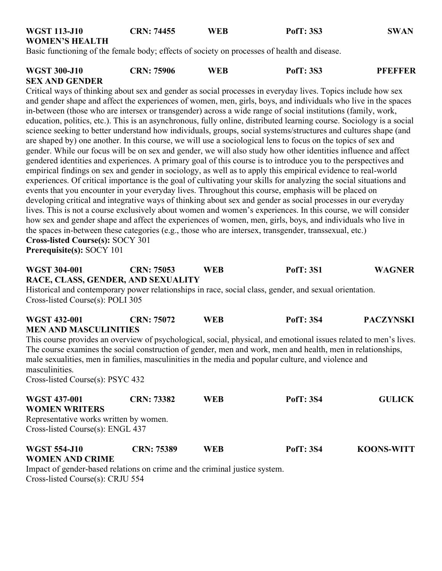| <b>WGST 113-J10</b>                | <b>CRN: 74455</b> | <b>WEB</b> | <b>PofT: 3S3</b>                                                                                                      | <b>SWAN</b>      |
|------------------------------------|-------------------|------------|-----------------------------------------------------------------------------------------------------------------------|------------------|
| <b>WOMEN'S HEALTH</b>              |                   |            |                                                                                                                       |                  |
|                                    |                   |            | Basic functioning of the female body; effects of society on processes of health and disease.                          |                  |
|                                    |                   |            |                                                                                                                       |                  |
| <b>WGST 300-J10</b>                | <b>CRN: 75906</b> | <b>WEB</b> | <b>PofT: 3S3</b>                                                                                                      | <b>PFEFFER</b>   |
| <b>SEX AND GENDER</b>              |                   |            |                                                                                                                       |                  |
|                                    |                   |            | Critical ways of thinking about sex and gender as social processes in everyday lives. Topics include how sex          |                  |
|                                    |                   |            | and gender shape and affect the experiences of women, men, girls, boys, and individuals who live in the spaces        |                  |
|                                    |                   |            | in-between (those who are intersex or transgender) across a wide range of social institutions (family, work,          |                  |
|                                    |                   |            | education, politics, etc.). This is an asynchronous, fully online, distributed learning course. Sociology is a social |                  |
|                                    |                   |            | science seeking to better understand how individuals, groups, social systems/structures and cultures shape (and       |                  |
|                                    |                   |            | are shaped by) one another. In this course, we will use a sociological lens to focus on the topics of sex and         |                  |
|                                    |                   |            | gender. While our focus will be on sex and gender, we will also study how other identities influence and affect       |                  |
|                                    |                   |            | gendered identities and experiences. A primary goal of this course is to introduce you to the perspectives and        |                  |
|                                    |                   |            | empirical findings on sex and gender in sociology, as well as to apply this empirical evidence to real-world          |                  |
|                                    |                   |            | experiences. Of critical importance is the goal of cultivating your skills for analyzing the social situations and    |                  |
|                                    |                   |            | events that you encounter in your everyday lives. Throughout this course, emphasis will be placed on                  |                  |
|                                    |                   |            | developing critical and integrative ways of thinking about sex and gender as social processes in our everyday         |                  |
|                                    |                   |            | lives. This is not a course exclusively about women and women's experiences. In this course, we will consider         |                  |
|                                    |                   |            | how sex and gender shape and affect the experiences of women, men, girls, boys, and individuals who live in           |                  |
|                                    |                   |            | the spaces in-between these categories (e.g., those who are intersex, transgender, transsexual, etc.)                 |                  |
| Cross-listed Course(s): SOCY 301   |                   |            |                                                                                                                       |                  |
| Prerequisite(s): SOCY 101          |                   |            |                                                                                                                       |                  |
|                                    |                   |            |                                                                                                                       |                  |
| <b>WGST 304-001</b>                | <b>CRN: 75053</b> | <b>WEB</b> | <b>PofT: 3S1</b>                                                                                                      | <b>WAGNER</b>    |
| RACE, CLASS, GENDER, AND SEXUALITY |                   |            |                                                                                                                       |                  |
|                                    |                   |            | Historical and contemporary power relationships in race, social class, gender, and sexual orientation.                |                  |
| Cross-listed Course(s): POLI 305   |                   |            |                                                                                                                       |                  |
| <b>WGST 432-001</b>                | <b>CRN: 75072</b> | <b>WEB</b> | <b>PofT: 3S4</b>                                                                                                      | <b>PACZYNSKI</b> |
| <b>MEN AND MASCULINITIES</b>       |                   |            |                                                                                                                       |                  |

This course provides an overview of psychological, social, physical, and emotional issues related to men's lives. The course examines the social construction of gender, men and work, men and health, men in relationships, male sexualities, men in families, masculinities in the media and popular culture, and violence and masculinities.

Cross-listed Course(s): PSYC 432

| <b>WGST 437-001</b>                                                        | <b>CRN: 73382</b> | WEB        | <b>PofT: 3S4</b> | <b>GULICK</b>     |  |  |  |  |
|----------------------------------------------------------------------------|-------------------|------------|------------------|-------------------|--|--|--|--|
| <b>WOMEN WRITERS</b>                                                       |                   |            |                  |                   |  |  |  |  |
| Representative works written by women.                                     |                   |            |                  |                   |  |  |  |  |
| Cross-listed Course(s): ENGL 437                                           |                   |            |                  |                   |  |  |  |  |
| <b>WGST 554-J10</b>                                                        | CRN: 75389        | <b>WEB</b> | <b>PofT: 3S4</b> | <b>KOONS-WITT</b> |  |  |  |  |
| <b>WOMEN AND CRIME</b>                                                     |                   |            |                  |                   |  |  |  |  |
| Impact of gender-based relations on crime and the criminal justice system. |                   |            |                  |                   |  |  |  |  |

Cross-listed Course(s): CRJU 554